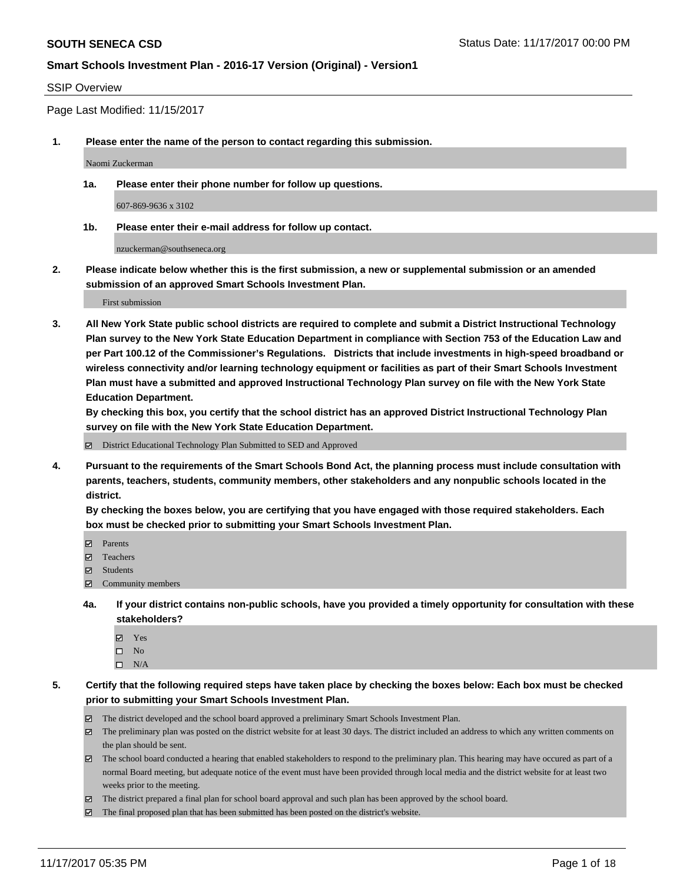#### SSIP Overview

Page Last Modified: 11/15/2017

**1. Please enter the name of the person to contact regarding this submission.**

Naomi Zuckerman

**1a. Please enter their phone number for follow up questions.**

607-869-9636 x 3102

**1b. Please enter their e-mail address for follow up contact.**

nzuckerman@southseneca.org

**2. Please indicate below whether this is the first submission, a new or supplemental submission or an amended submission of an approved Smart Schools Investment Plan.**

First submission

**3. All New York State public school districts are required to complete and submit a District Instructional Technology Plan survey to the New York State Education Department in compliance with Section 753 of the Education Law and per Part 100.12 of the Commissioner's Regulations. Districts that include investments in high-speed broadband or wireless connectivity and/or learning technology equipment or facilities as part of their Smart Schools Investment Plan must have a submitted and approved Instructional Technology Plan survey on file with the New York State Education Department.** 

**By checking this box, you certify that the school district has an approved District Instructional Technology Plan survey on file with the New York State Education Department.**

District Educational Technology Plan Submitted to SED and Approved

**4. Pursuant to the requirements of the Smart Schools Bond Act, the planning process must include consultation with parents, teachers, students, community members, other stakeholders and any nonpublic schools located in the district.** 

**By checking the boxes below, you are certifying that you have engaged with those required stakeholders. Each box must be checked prior to submitting your Smart Schools Investment Plan.**

- **マ** Parents
- Teachers
- **☑** Students
- $\Xi$  Community members
- **4a. If your district contains non-public schools, have you provided a timely opportunity for consultation with these stakeholders?**
	- **Ø** Yes
	- $\square$  No
	- $\square$  N/A
- **5. Certify that the following required steps have taken place by checking the boxes below: Each box must be checked prior to submitting your Smart Schools Investment Plan.**
	- The district developed and the school board approved a preliminary Smart Schools Investment Plan.
	- The preliminary plan was posted on the district website for at least 30 days. The district included an address to which any written comments on the plan should be sent.
	- The school board conducted a hearing that enabled stakeholders to respond to the preliminary plan. This hearing may have occured as part of a normal Board meeting, but adequate notice of the event must have been provided through local media and the district website for at least two weeks prior to the meeting.
	- The district prepared a final plan for school board approval and such plan has been approved by the school board.
	- $\boxtimes$  The final proposed plan that has been submitted has been posted on the district's website.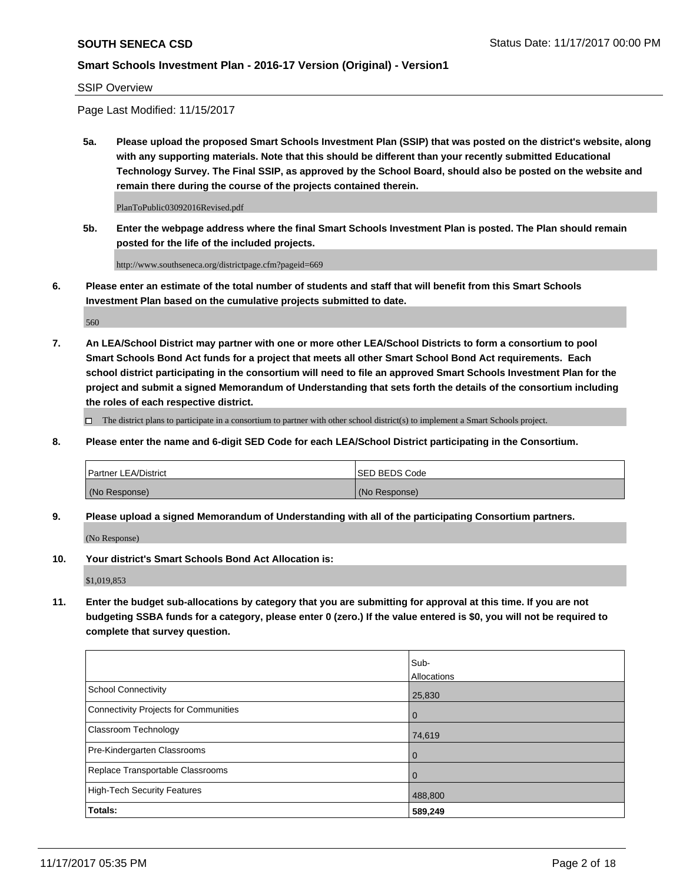#### SSIP Overview

Page Last Modified: 11/15/2017

**5a. Please upload the proposed Smart Schools Investment Plan (SSIP) that was posted on the district's website, along with any supporting materials. Note that this should be different than your recently submitted Educational Technology Survey. The Final SSIP, as approved by the School Board, should also be posted on the website and remain there during the course of the projects contained therein.**

PlanToPublic03092016Revised.pdf

**5b. Enter the webpage address where the final Smart Schools Investment Plan is posted. The Plan should remain posted for the life of the included projects.**

http://www.southseneca.org/districtpage.cfm?pageid=669

**6. Please enter an estimate of the total number of students and staff that will benefit from this Smart Schools Investment Plan based on the cumulative projects submitted to date.**

560

**7. An LEA/School District may partner with one or more other LEA/School Districts to form a consortium to pool Smart Schools Bond Act funds for a project that meets all other Smart School Bond Act requirements. Each school district participating in the consortium will need to file an approved Smart Schools Investment Plan for the project and submit a signed Memorandum of Understanding that sets forth the details of the consortium including the roles of each respective district.**

 $\Box$  The district plans to participate in a consortium to partner with other school district(s) to implement a Smart Schools project.

**8. Please enter the name and 6-digit SED Code for each LEA/School District participating in the Consortium.**

| <b>Partner LEA/District</b> | <b>ISED BEDS Code</b> |
|-----------------------------|-----------------------|
| (No Response)               | (No Response)         |

**9. Please upload a signed Memorandum of Understanding with all of the participating Consortium partners.**

(No Response)

**10. Your district's Smart Schools Bond Act Allocation is:**

\$1,019,853

**11. Enter the budget sub-allocations by category that you are submitting for approval at this time. If you are not budgeting SSBA funds for a category, please enter 0 (zero.) If the value entered is \$0, you will not be required to complete that survey question.**

|                                       | Sub-        |
|---------------------------------------|-------------|
|                                       | Allocations |
| <b>School Connectivity</b>            | 25,830      |
| Connectivity Projects for Communities | $\mathbf 0$ |
| <b>Classroom Technology</b>           | 74,619      |
| Pre-Kindergarten Classrooms           | $\mathbf 0$ |
| Replace Transportable Classrooms      | $\Omega$    |
| <b>High-Tech Security Features</b>    | 488,800     |
| Totals:                               | 589,249     |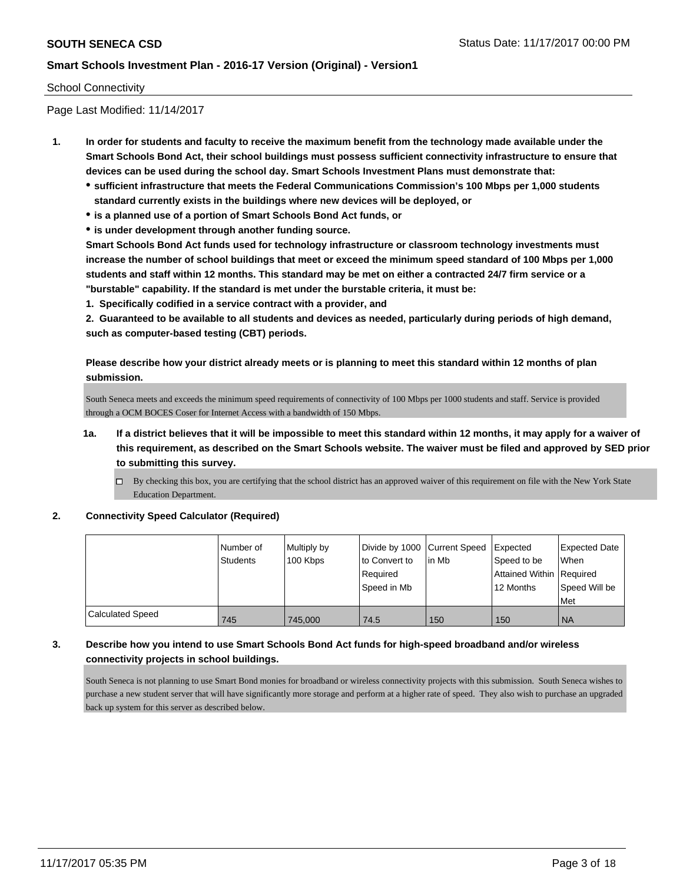### School Connectivity

Page Last Modified: 11/14/2017

- **1. In order for students and faculty to receive the maximum benefit from the technology made available under the Smart Schools Bond Act, their school buildings must possess sufficient connectivity infrastructure to ensure that devices can be used during the school day. Smart Schools Investment Plans must demonstrate that:**
	- **sufficient infrastructure that meets the Federal Communications Commission's 100 Mbps per 1,000 students standard currently exists in the buildings where new devices will be deployed, or**
	- **is a planned use of a portion of Smart Schools Bond Act funds, or**
	- **is under development through another funding source.**

**Smart Schools Bond Act funds used for technology infrastructure or classroom technology investments must increase the number of school buildings that meet or exceed the minimum speed standard of 100 Mbps per 1,000 students and staff within 12 months. This standard may be met on either a contracted 24/7 firm service or a "burstable" capability. If the standard is met under the burstable criteria, it must be:**

**1. Specifically codified in a service contract with a provider, and**

**2. Guaranteed to be available to all students and devices as needed, particularly during periods of high demand, such as computer-based testing (CBT) periods.**

**Please describe how your district already meets or is planning to meet this standard within 12 months of plan submission.**

South Seneca meets and exceeds the minimum speed requirements of connectivity of 100 Mbps per 1000 students and staff. Service is provided through a OCM BOCES Coser for Internet Access with a bandwidth of 150 Mbps.

- **1a. If a district believes that it will be impossible to meet this standard within 12 months, it may apply for a waiver of this requirement, as described on the Smart Schools website. The waiver must be filed and approved by SED prior to submitting this survey.**
	- By checking this box, you are certifying that the school district has an approved waiver of this requirement on file with the New York State Education Department.

#### **2. Connectivity Speed Calculator (Required)**

|                         | Number of<br><b>Students</b> | Multiply by<br>100 Kbps | Divide by 1000 Current Speed<br>to Convert to<br>Required<br>Speed in Mb | lin Mb | <b>Expected</b><br>Speed to be<br>Attained Within Required<br>12 Months | <b>Expected Date</b><br><b>When</b><br>Speed Will be<br>Met |
|-------------------------|------------------------------|-------------------------|--------------------------------------------------------------------------|--------|-------------------------------------------------------------------------|-------------------------------------------------------------|
| <b>Calculated Speed</b> | 745                          | 745,000                 | 74.5                                                                     | 150    | 150                                                                     | <b>INA</b>                                                  |

### **3. Describe how you intend to use Smart Schools Bond Act funds for high-speed broadband and/or wireless connectivity projects in school buildings.**

South Seneca is not planning to use Smart Bond monies for broadband or wireless connectivity projects with this submission. South Seneca wishes to purchase a new student server that will have significantly more storage and perform at a higher rate of speed. They also wish to purchase an upgraded back up system for this server as described below.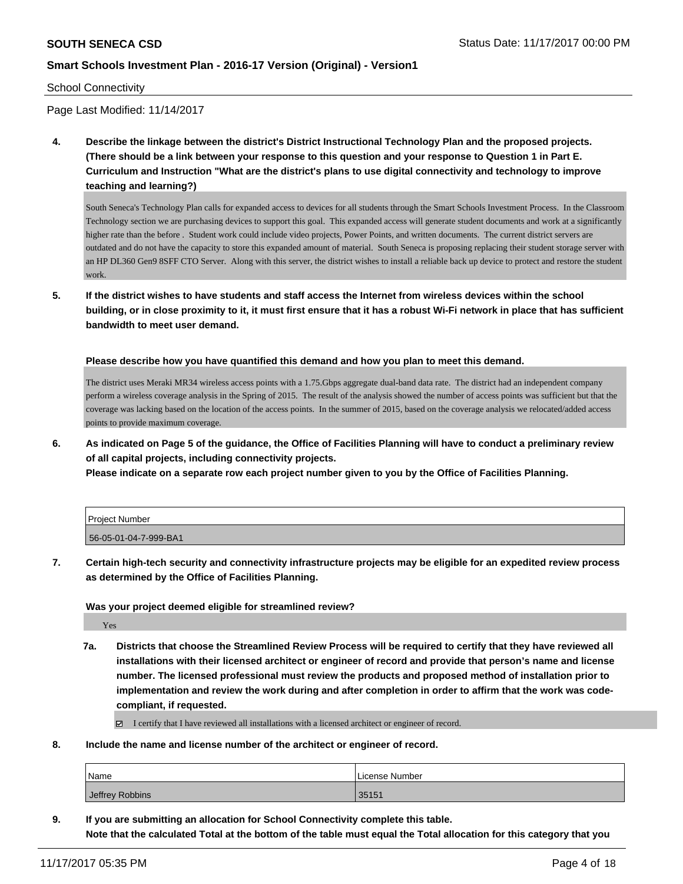#### School Connectivity

Page Last Modified: 11/14/2017

**4. Describe the linkage between the district's District Instructional Technology Plan and the proposed projects. (There should be a link between your response to this question and your response to Question 1 in Part E. Curriculum and Instruction "What are the district's plans to use digital connectivity and technology to improve teaching and learning?)**

South Seneca's Technology Plan calls for expanded access to devices for all students through the Smart Schools Investment Process. In the Classroom Technology section we are purchasing devices to support this goal. This expanded access will generate student documents and work at a significantly higher rate than the before . Student work could include video projects, Power Points, and written documents. The current district servers are outdated and do not have the capacity to store this expanded amount of material. South Seneca is proposing replacing their student storage server with an HP DL360 Gen9 8SFF CTO Server. Along with this server, the district wishes to install a reliable back up device to protect and restore the student work.

**5. If the district wishes to have students and staff access the Internet from wireless devices within the school building, or in close proximity to it, it must first ensure that it has a robust Wi-Fi network in place that has sufficient bandwidth to meet user demand.**

**Please describe how you have quantified this demand and how you plan to meet this demand.**

The district uses Meraki MR34 wireless access points with a 1.75.Gbps aggregate dual-band data rate. The district had an independent company perform a wireless coverage analysis in the Spring of 2015. The result of the analysis showed the number of access points was sufficient but that the coverage was lacking based on the location of the access points. In the summer of 2015, based on the coverage analysis we relocated/added access points to provide maximum coverage.

**6. As indicated on Page 5 of the guidance, the Office of Facilities Planning will have to conduct a preliminary review of all capital projects, including connectivity projects.**

**Please indicate on a separate row each project number given to you by the Office of Facilities Planning.**

| l Proiect Number      |  |
|-----------------------|--|
| 56-05-01-04-7-999-BA1 |  |

**7. Certain high-tech security and connectivity infrastructure projects may be eligible for an expedited review process as determined by the Office of Facilities Planning.**

#### **Was your project deemed eligible for streamlined review?**

Yes

**7a. Districts that choose the Streamlined Review Process will be required to certify that they have reviewed all installations with their licensed architect or engineer of record and provide that person's name and license number. The licensed professional must review the products and proposed method of installation prior to implementation and review the work during and after completion in order to affirm that the work was codecompliant, if requested.**

I certify that I have reviewed all installations with a licensed architect or engineer of record.

**8. Include the name and license number of the architect or engineer of record.**

| Name            | License Number |
|-----------------|----------------|
| Jeffrey Robbins | 35151          |

**9. If you are submitting an allocation for School Connectivity complete this table. Note that the calculated Total at the bottom of the table must equal the Total allocation for this category that you**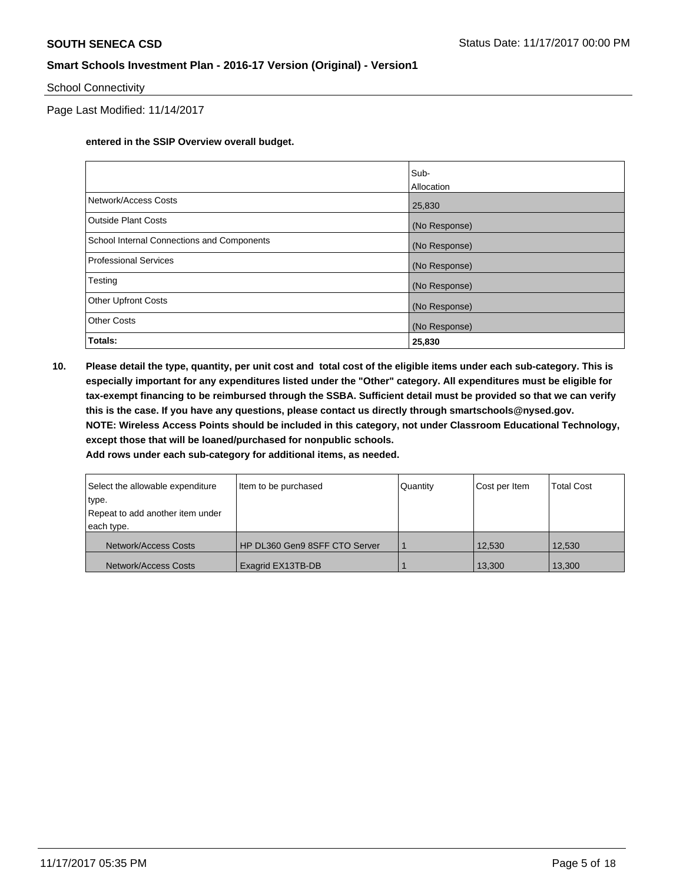### School Connectivity

Page Last Modified: 11/14/2017

### **entered in the SSIP Overview overall budget.**

|                                            | Sub-              |
|--------------------------------------------|-------------------|
|                                            | <b>Allocation</b> |
| Network/Access Costs                       | 25,830            |
| Outside Plant Costs                        | (No Response)     |
| School Internal Connections and Components | (No Response)     |
| Professional Services                      | (No Response)     |
| Testing                                    | (No Response)     |
| <b>Other Upfront Costs</b>                 | (No Response)     |
| <b>Other Costs</b>                         | (No Response)     |
| Totals:                                    | 25,830            |

**10. Please detail the type, quantity, per unit cost and total cost of the eligible items under each sub-category. This is especially important for any expenditures listed under the "Other" category. All expenditures must be eligible for tax-exempt financing to be reimbursed through the SSBA. Sufficient detail must be provided so that we can verify this is the case. If you have any questions, please contact us directly through smartschools@nysed.gov. NOTE: Wireless Access Points should be included in this category, not under Classroom Educational Technology, except those that will be loaned/purchased for nonpublic schools. Add rows under each sub-category for additional items, as needed.**

| Select the allowable expenditure | Item to be purchased          | Quantity | Cost per Item | <b>Total Cost</b> |
|----------------------------------|-------------------------------|----------|---------------|-------------------|
| type.                            |                               |          |               |                   |
| Repeat to add another item under |                               |          |               |                   |
| each type.                       |                               |          |               |                   |
| Network/Access Costs             | HP DL360 Gen9 8SFF CTO Server |          | 12,530        | 12.530            |
| Network/Access Costs             | Exagrid EX13TB-DB             |          | 13,300        | 13,300            |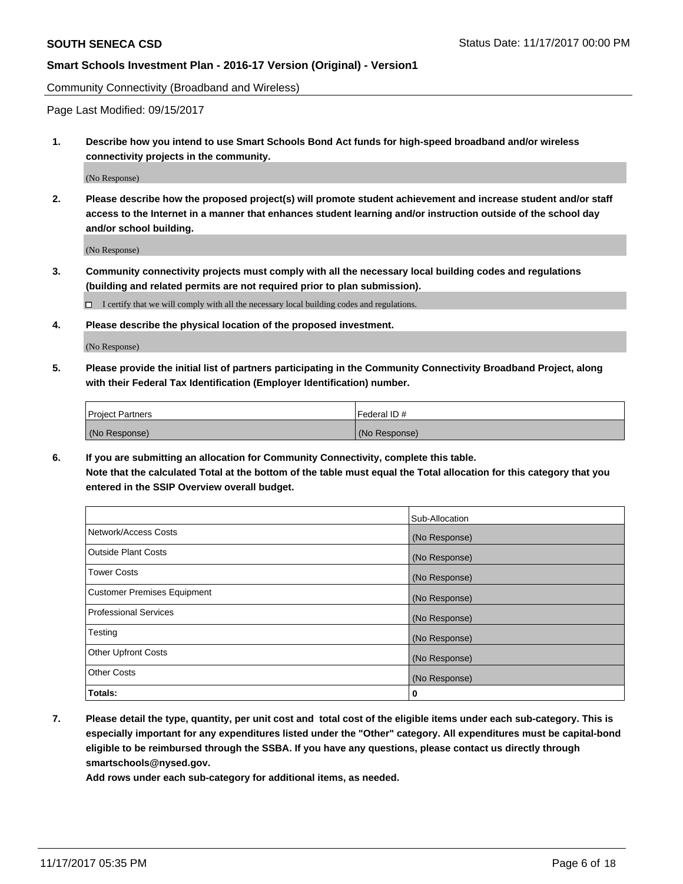Community Connectivity (Broadband and Wireless)

Page Last Modified: 09/15/2017

**1. Describe how you intend to use Smart Schools Bond Act funds for high-speed broadband and/or wireless connectivity projects in the community.**

(No Response)

**2. Please describe how the proposed project(s) will promote student achievement and increase student and/or staff access to the Internet in a manner that enhances student learning and/or instruction outside of the school day and/or school building.**

(No Response)

**3. Community connectivity projects must comply with all the necessary local building codes and regulations (building and related permits are not required prior to plan submission).**

 $\Box$  I certify that we will comply with all the necessary local building codes and regulations.

**4. Please describe the physical location of the proposed investment.**

(No Response)

**5. Please provide the initial list of partners participating in the Community Connectivity Broadband Project, along with their Federal Tax Identification (Employer Identification) number.**

| <b>Project Partners</b> | l Federal ID # |
|-------------------------|----------------|
| (No Response)           | (No Response)  |

**6. If you are submitting an allocation for Community Connectivity, complete this table. Note that the calculated Total at the bottom of the table must equal the Total allocation for this category that you entered in the SSIP Overview overall budget.**

|                                    | Sub-Allocation |
|------------------------------------|----------------|
| Network/Access Costs               | (No Response)  |
| <b>Outside Plant Costs</b>         | (No Response)  |
| <b>Tower Costs</b>                 | (No Response)  |
| <b>Customer Premises Equipment</b> | (No Response)  |
| <b>Professional Services</b>       | (No Response)  |
| Testing                            | (No Response)  |
| <b>Other Upfront Costs</b>         | (No Response)  |
| <b>Other Costs</b>                 | (No Response)  |
| Totals:                            | 0              |

**7. Please detail the type, quantity, per unit cost and total cost of the eligible items under each sub-category. This is especially important for any expenditures listed under the "Other" category. All expenditures must be capital-bond eligible to be reimbursed through the SSBA. If you have any questions, please contact us directly through smartschools@nysed.gov.**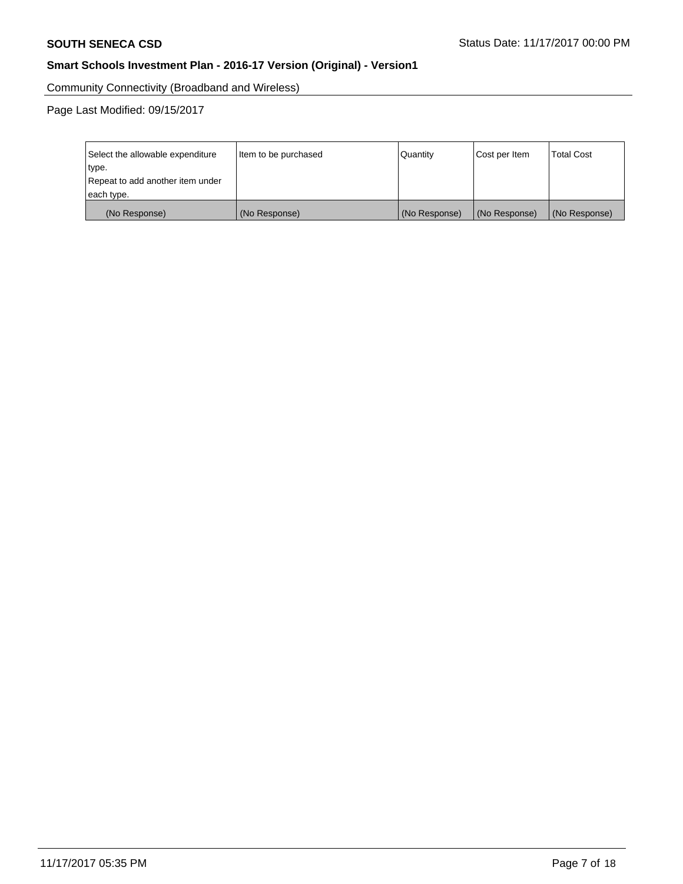Community Connectivity (Broadband and Wireless)

Page Last Modified: 09/15/2017

| Select the allowable expenditure | Item to be purchased | Quantity      | Cost per Item | <b>Total Cost</b> |
|----------------------------------|----------------------|---------------|---------------|-------------------|
| type.                            |                      |               |               |                   |
| Repeat to add another item under |                      |               |               |                   |
| each type.                       |                      |               |               |                   |
| (No Response)                    | (No Response)        | (No Response) | (No Response) | (No Response)     |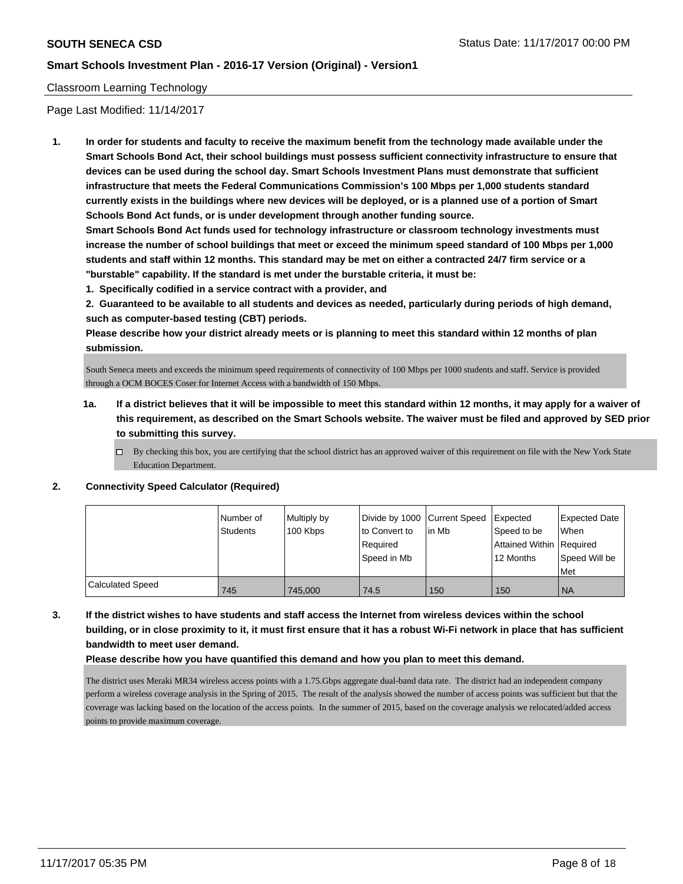### Classroom Learning Technology

Page Last Modified: 11/14/2017

**1. In order for students and faculty to receive the maximum benefit from the technology made available under the Smart Schools Bond Act, their school buildings must possess sufficient connectivity infrastructure to ensure that devices can be used during the school day. Smart Schools Investment Plans must demonstrate that sufficient infrastructure that meets the Federal Communications Commission's 100 Mbps per 1,000 students standard currently exists in the buildings where new devices will be deployed, or is a planned use of a portion of Smart Schools Bond Act funds, or is under development through another funding source.**

**Smart Schools Bond Act funds used for technology infrastructure or classroom technology investments must increase the number of school buildings that meet or exceed the minimum speed standard of 100 Mbps per 1,000 students and staff within 12 months. This standard may be met on either a contracted 24/7 firm service or a "burstable" capability. If the standard is met under the burstable criteria, it must be:**

**1. Specifically codified in a service contract with a provider, and**

**2. Guaranteed to be available to all students and devices as needed, particularly during periods of high demand, such as computer-based testing (CBT) periods.**

**Please describe how your district already meets or is planning to meet this standard within 12 months of plan submission.**

South Seneca meets and exceeds the minimum speed requirements of connectivity of 100 Mbps per 1000 students and staff. Service is provided through a OCM BOCES Coser for Internet Access with a bandwidth of 150 Mbps.

- **1a. If a district believes that it will be impossible to meet this standard within 12 months, it may apply for a waiver of this requirement, as described on the Smart Schools website. The waiver must be filed and approved by SED prior to submitting this survey.**
	- $\Box$  By checking this box, you are certifying that the school district has an approved waiver of this requirement on file with the New York State Education Department.

#### **2. Connectivity Speed Calculator (Required)**

|                         | Number of<br><b>Students</b> | Multiply by<br>100 Kbps | Divide by 1000 Current Speed<br>to Convert to<br>Required<br>Speed in Mb | lin Mb | Expected<br>Speed to be<br>Attained Within Required<br>12 Months | <b>Expected Date</b><br><b>When</b><br>Speed Will be<br>Met |
|-------------------------|------------------------------|-------------------------|--------------------------------------------------------------------------|--------|------------------------------------------------------------------|-------------------------------------------------------------|
| <b>Calculated Speed</b> | 745                          | 745.000                 | 74.5                                                                     | 150    | 150                                                              | <b>NA</b>                                                   |

**3. If the district wishes to have students and staff access the Internet from wireless devices within the school building, or in close proximity to it, it must first ensure that it has a robust Wi-Fi network in place that has sufficient bandwidth to meet user demand.**

**Please describe how you have quantified this demand and how you plan to meet this demand.**

The district uses Meraki MR34 wireless access points with a 1.75.Gbps aggregate dual-band data rate. The district had an independent company perform a wireless coverage analysis in the Spring of 2015. The result of the analysis showed the number of access points was sufficient but that the coverage was lacking based on the location of the access points. In the summer of 2015, based on the coverage analysis we relocated/added access points to provide maximum coverage.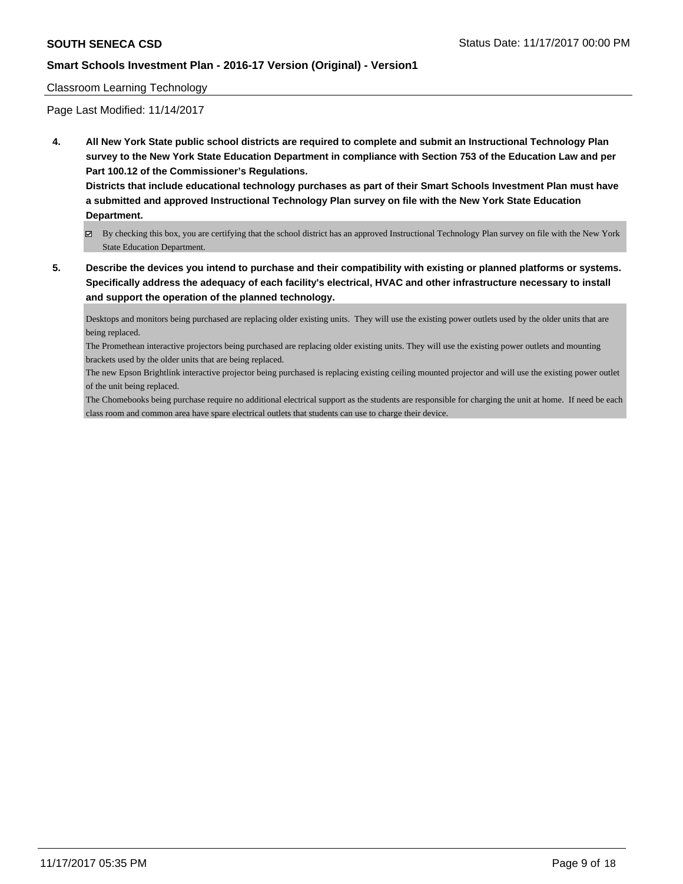### Classroom Learning Technology

Page Last Modified: 11/14/2017

**4. All New York State public school districts are required to complete and submit an Instructional Technology Plan survey to the New York State Education Department in compliance with Section 753 of the Education Law and per Part 100.12 of the Commissioner's Regulations.**

**Districts that include educational technology purchases as part of their Smart Schools Investment Plan must have a submitted and approved Instructional Technology Plan survey on file with the New York State Education Department.**

- By checking this box, you are certifying that the school district has an approved Instructional Technology Plan survey on file with the New York State Education Department.
- **5. Describe the devices you intend to purchase and their compatibility with existing or planned platforms or systems. Specifically address the adequacy of each facility's electrical, HVAC and other infrastructure necessary to install and support the operation of the planned technology.**

Desktops and monitors being purchased are replacing older existing units. They will use the existing power outlets used by the older units that are being replaced.

The Promethean interactive projectors being purchased are replacing older existing units. They will use the existing power outlets and mounting brackets used by the older units that are being replaced.

The new Epson Brightlink interactive projector being purchased is replacing existing ceiling mounted projector and will use the existing power outlet of the unit being replaced.

The Chomebooks being purchase require no additional electrical support as the students are responsible for charging the unit at home. If need be each class room and common area have spare electrical outlets that students can use to charge their device.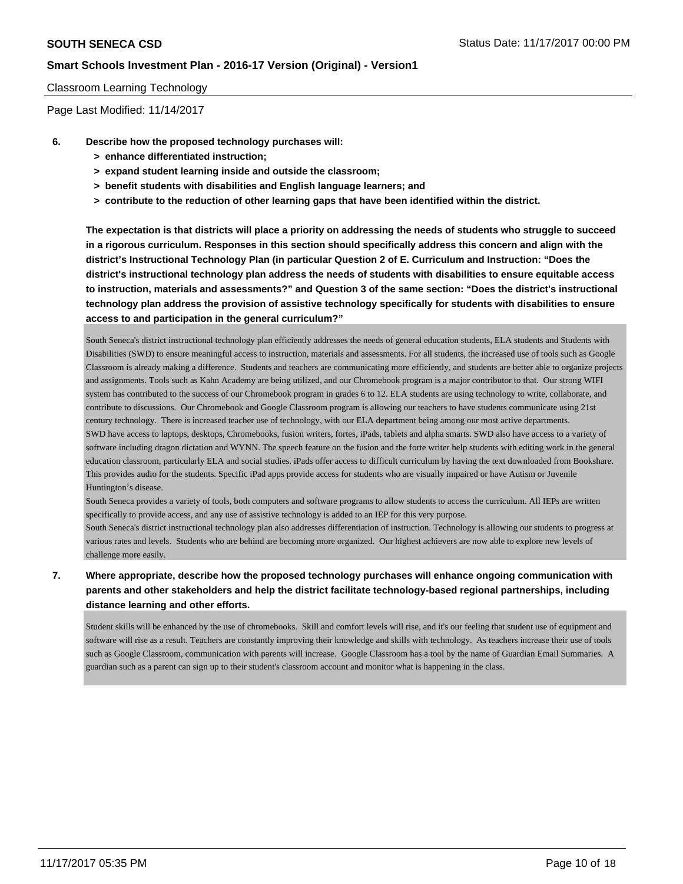### Classroom Learning Technology

Page Last Modified: 11/14/2017

- **6. Describe how the proposed technology purchases will:**
	- **> enhance differentiated instruction;**
	- **> expand student learning inside and outside the classroom;**
	- **> benefit students with disabilities and English language learners; and**
	- **> contribute to the reduction of other learning gaps that have been identified within the district.**

**The expectation is that districts will place a priority on addressing the needs of students who struggle to succeed in a rigorous curriculum. Responses in this section should specifically address this concern and align with the district's Instructional Technology Plan (in particular Question 2 of E. Curriculum and Instruction: "Does the district's instructional technology plan address the needs of students with disabilities to ensure equitable access to instruction, materials and assessments?" and Question 3 of the same section: "Does the district's instructional technology plan address the provision of assistive technology specifically for students with disabilities to ensure access to and participation in the general curriculum?"**

South Seneca's district instructional technology plan efficiently addresses the needs of general education students, ELA students and Students with Disabilities (SWD) to ensure meaningful access to instruction, materials and assessments. For all students, the increased use of tools such as Google Classroom is already making a difference. Students and teachers are communicating more efficiently, and students are better able to organize projects and assignments. Tools such as Kahn Academy are being utilized, and our Chromebook program is a major contributor to that. Our strong WIFI system has contributed to the success of our Chromebook program in grades 6 to 12. ELA students are using technology to write, collaborate, and contribute to discussions. Our Chromebook and Google Classroom program is allowing our teachers to have students communicate using 21st century technology. There is increased teacher use of technology, with our ELA department being among our most active departments. SWD have access to laptops, desktops, Chromebooks, fusion writers, fortes, iPads, tablets and alpha smarts. SWD also have access to a variety of software including dragon dictation and WYNN. The speech feature on the fusion and the forte writer help students with editing work in the general education classroom, particularly ELA and social studies. iPads offer access to difficult curriculum by having the text downloaded from Bookshare. This provides audio for the students. Specific iPad apps provide access for students who are visually impaired or have Autism or Juvenile Huntington's disease.

South Seneca provides a variety of tools, both computers and software programs to allow students to access the curriculum. All IEPs are written specifically to provide access, and any use of assistive technology is added to an IEP for this very purpose.

South Seneca's district instructional technology plan also addresses differentiation of instruction. Technology is allowing our students to progress at various rates and levels. Students who are behind are becoming more organized. Our highest achievers are now able to explore new levels of challenge more easily.

# **7. Where appropriate, describe how the proposed technology purchases will enhance ongoing communication with parents and other stakeholders and help the district facilitate technology-based regional partnerships, including distance learning and other efforts.**

Student skills will be enhanced by the use of chromebooks. Skill and comfort levels will rise, and it's our feeling that student use of equipment and software will rise as a result. Teachers are constantly improving their knowledge and skills with technology. As teachers increase their use of tools such as Google Classroom, communication with parents will increase. Google Classroom has a tool by the name of Guardian Email Summaries. A guardian such as a parent can sign up to their student's classroom account and monitor what is happening in the class.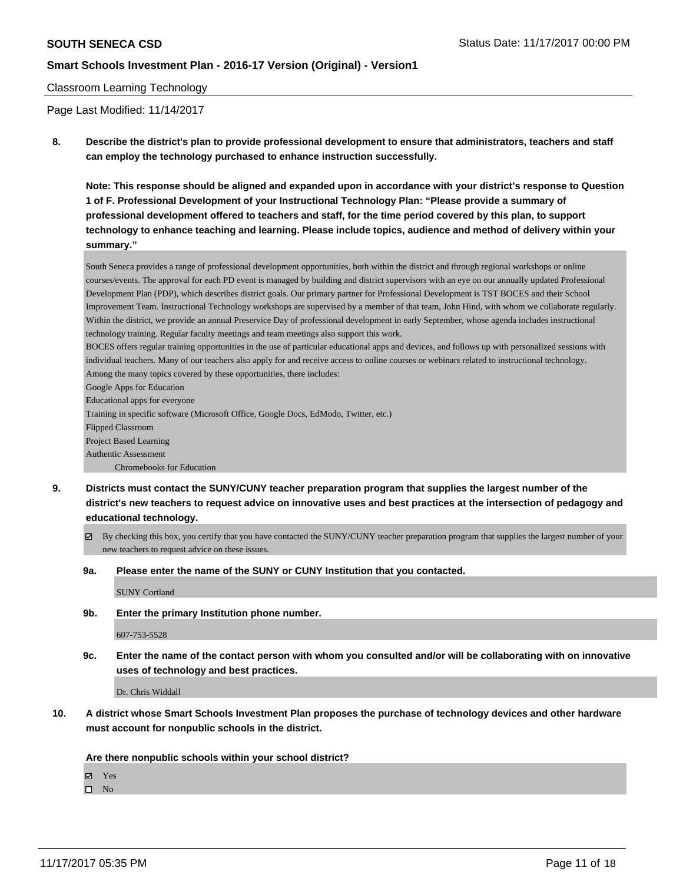#### Classroom Learning Technology

Page Last Modified: 11/14/2017

**8. Describe the district's plan to provide professional development to ensure that administrators, teachers and staff can employ the technology purchased to enhance instruction successfully.**

**Note: This response should be aligned and expanded upon in accordance with your district's response to Question 1 of F. Professional Development of your Instructional Technology Plan: "Please provide a summary of professional development offered to teachers and staff, for the time period covered by this plan, to support technology to enhance teaching and learning. Please include topics, audience and method of delivery within your summary."**

South Seneca provides a range of professional development opportunities, both within the district and through regional workshops or online courses/events. The approval for each PD event is managed by building and district supervisors with an eye on our annually updated Professional Development Plan (PDP), which describes district goals. Our primary partner for Professional Development is TST BOCES and their School Improvement Team. Instructional Technology workshops are supervised by a member of that team, John Hind, with whom we collaborate regularly. Within the district, we provide an annual Preservice Day of professional development in early September, whose agenda includes instructional technology training. Regular faculty meetings and team meetings also support this work.

BOCES offers regular training opportunities in the use of particular educational apps and devices, and follows up with personalized sessions with individual teachers. Many of our teachers also apply for and receive access to online courses or webinars related to instructional technology. Among the many topics covered by these opportunities, there includes:

Google Apps for Education Educational apps for everyone Training in specific software (Microsoft Office, Google Docs, EdModo, Twitter, etc.) Flipped Classroom Project Based Learning Authentic Assessment Chromebooks for Education

- **9. Districts must contact the SUNY/CUNY teacher preparation program that supplies the largest number of the district's new teachers to request advice on innovative uses and best practices at the intersection of pedagogy and educational technology.**
	- $\boxtimes$  By checking this box, you certify that you have contacted the SUNY/CUNY teacher preparation program that supplies the largest number of your new teachers to request advice on these issues.
	- **9a. Please enter the name of the SUNY or CUNY Institution that you contacted.**

SUNY Cortland

**9b. Enter the primary Institution phone number.**

607-753-5528

**9c. Enter the name of the contact person with whom you consulted and/or will be collaborating with on innovative uses of technology and best practices.**

Dr. Chris Widdall

**10. A district whose Smart Schools Investment Plan proposes the purchase of technology devices and other hardware must account for nonpublic schools in the district.**

**Are there nonpublic schools within your school district?**

Yes

 $\square$  No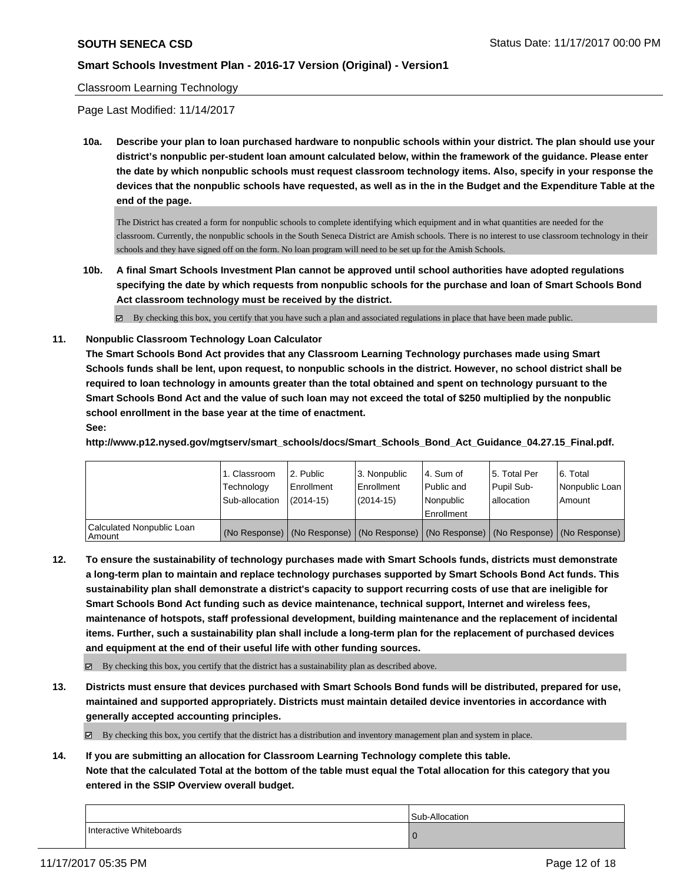### Classroom Learning Technology

Page Last Modified: 11/14/2017

**10a. Describe your plan to loan purchased hardware to nonpublic schools within your district. The plan should use your district's nonpublic per-student loan amount calculated below, within the framework of the guidance. Please enter the date by which nonpublic schools must request classroom technology items. Also, specify in your response the devices that the nonpublic schools have requested, as well as in the in the Budget and the Expenditure Table at the end of the page.**

The District has created a form for nonpublic schools to complete identifying which equipment and in what quantities are needed for the classroom. Currently, the nonpublic schools in the South Seneca District are Amish schools. There is no interest to use classroom technology in their schools and they have signed off on the form. No loan program will need to be set up for the Amish Schools.

- **10b. A final Smart Schools Investment Plan cannot be approved until school authorities have adopted regulations specifying the date by which requests from nonpublic schools for the purchase and loan of Smart Schools Bond Act classroom technology must be received by the district.**
	- $\boxtimes$  By checking this box, you certify that you have such a plan and associated regulations in place that have been made public.
- **11. Nonpublic Classroom Technology Loan Calculator**

**The Smart Schools Bond Act provides that any Classroom Learning Technology purchases made using Smart Schools funds shall be lent, upon request, to nonpublic schools in the district. However, no school district shall be required to loan technology in amounts greater than the total obtained and spent on technology pursuant to the Smart Schools Bond Act and the value of such loan may not exceed the total of \$250 multiplied by the nonpublic school enrollment in the base year at the time of enactment.**

**See:**

**http://www.p12.nysed.gov/mgtserv/smart\_schools/docs/Smart\_Schools\_Bond\_Act\_Guidance\_04.27.15\_Final.pdf.**

|                                       | 1. Classroom<br>Technology<br>Sub-allocation | 12. Public<br>Enrollment<br>$(2014 - 15)$ | l 3. Nonpublic<br>Enrollment<br>$(2014 - 15)$ | l 4. Sum of<br>Public and<br>l Nonpublic<br>Enrollment | 15. Total Per<br>Pupil Sub-<br>lallocation                                                    | 16. Total<br>Nonpublic Loan I<br>Amount |
|---------------------------------------|----------------------------------------------|-------------------------------------------|-----------------------------------------------|--------------------------------------------------------|-----------------------------------------------------------------------------------------------|-----------------------------------------|
| Calculated Nonpublic Loan<br>  Amount |                                              |                                           |                                               |                                                        | (No Response)   (No Response)   (No Response)   (No Response)   (No Response)   (No Response) |                                         |

**12. To ensure the sustainability of technology purchases made with Smart Schools funds, districts must demonstrate a long-term plan to maintain and replace technology purchases supported by Smart Schools Bond Act funds. This sustainability plan shall demonstrate a district's capacity to support recurring costs of use that are ineligible for Smart Schools Bond Act funding such as device maintenance, technical support, Internet and wireless fees, maintenance of hotspots, staff professional development, building maintenance and the replacement of incidental items. Further, such a sustainability plan shall include a long-term plan for the replacement of purchased devices and equipment at the end of their useful life with other funding sources.**

 $\boxtimes$  By checking this box, you certify that the district has a sustainability plan as described above.

**13. Districts must ensure that devices purchased with Smart Schools Bond funds will be distributed, prepared for use, maintained and supported appropriately. Districts must maintain detailed device inventories in accordance with generally accepted accounting principles.**

By checking this box, you certify that the district has a distribution and inventory management plan and system in place.

**14. If you are submitting an allocation for Classroom Learning Technology complete this table.**

**Note that the calculated Total at the bottom of the table must equal the Total allocation for this category that you entered in the SSIP Overview overall budget.**

|                         | Sub-Allocation |
|-------------------------|----------------|
| Interactive Whiteboards |                |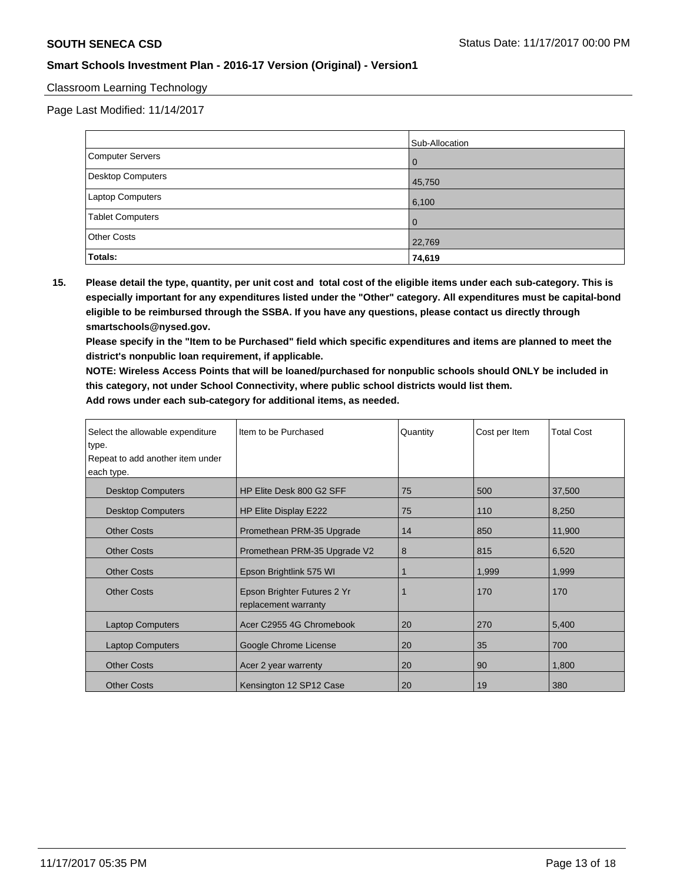### Classroom Learning Technology

Page Last Modified: 11/14/2017

|                    | Sub-Allocation |
|--------------------|----------------|
| Computer Servers   | 0              |
| Desktop Computers  | 45,750         |
| Laptop Computers   | 6,100          |
| Tablet Computers   | $\Omega$       |
| <b>Other Costs</b> | 22,769         |
| Totals:            | 74,619         |

**15. Please detail the type, quantity, per unit cost and total cost of the eligible items under each sub-category. This is especially important for any expenditures listed under the "Other" category. All expenditures must be capital-bond eligible to be reimbursed through the SSBA. If you have any questions, please contact us directly through smartschools@nysed.gov.**

**Please specify in the "Item to be Purchased" field which specific expenditures and items are planned to meet the district's nonpublic loan requirement, if applicable.**

**NOTE: Wireless Access Points that will be loaned/purchased for nonpublic schools should ONLY be included in this category, not under School Connectivity, where public school districts would list them. Add rows under each sub-category for additional items, as needed.**

| Select the allowable expenditure | Item to be Purchased                                | Quantity | Cost per Item | <b>Total Cost</b> |
|----------------------------------|-----------------------------------------------------|----------|---------------|-------------------|
| type.                            |                                                     |          |               |                   |
| Repeat to add another item under |                                                     |          |               |                   |
| each type.                       |                                                     |          |               |                   |
| <b>Desktop Computers</b>         | HP Elite Desk 800 G2 SFF                            | 75       | 500           | 37,500            |
| <b>Desktop Computers</b>         | HP Elite Display E222                               | 75       | 110           | 8,250             |
| <b>Other Costs</b>               | Promethean PRM-35 Upgrade                           | 14       | 850           | 11,900            |
| <b>Other Costs</b>               | Promethean PRM-35 Upgrade V2                        | 8        | 815           | 6,520             |
| <b>Other Costs</b>               | Epson Brightlink 575 WI                             |          | 1,999         | 1,999             |
| <b>Other Costs</b>               | Epson Brighter Futures 2 Yr<br>replacement warranty |          | 170           | 170               |
| <b>Laptop Computers</b>          | Acer C2955 4G Chromebook                            | 20       | 270           | 5,400             |
| <b>Laptop Computers</b>          | Google Chrome License                               | 20       | 35            | 700               |
| <b>Other Costs</b>               | Acer 2 year warrenty                                | 20       | 90            | 1,800             |
| <b>Other Costs</b>               | Kensington 12 SP12 Case                             | 20       | 19            | 380               |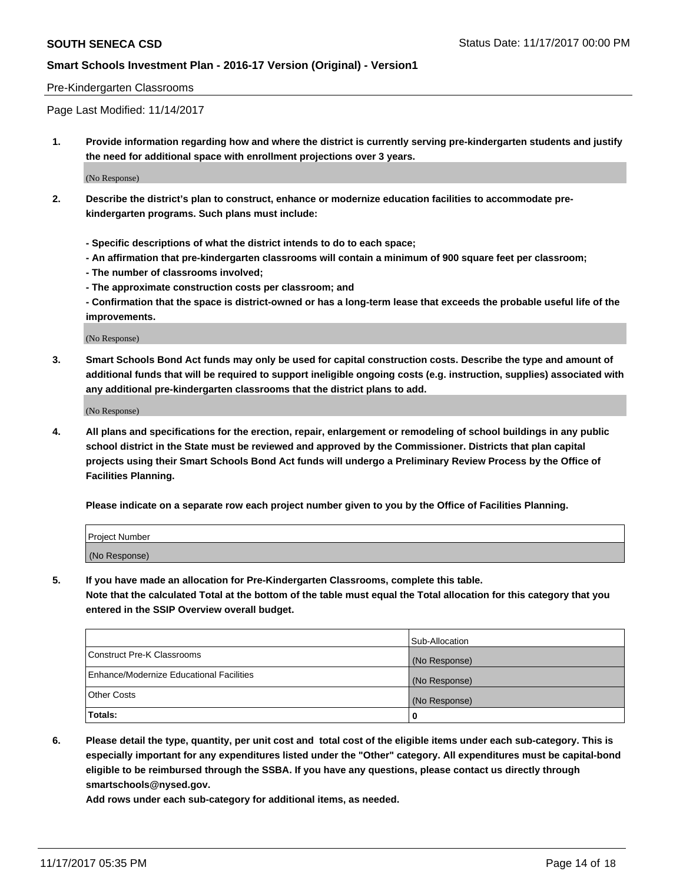#### Pre-Kindergarten Classrooms

Page Last Modified: 11/14/2017

**1. Provide information regarding how and where the district is currently serving pre-kindergarten students and justify the need for additional space with enrollment projections over 3 years.**

(No Response)

- **2. Describe the district's plan to construct, enhance or modernize education facilities to accommodate prekindergarten programs. Such plans must include:**
	- **Specific descriptions of what the district intends to do to each space;**
	- **An affirmation that pre-kindergarten classrooms will contain a minimum of 900 square feet per classroom;**
	- **The number of classrooms involved;**
	- **The approximate construction costs per classroom; and**
	- **Confirmation that the space is district-owned or has a long-term lease that exceeds the probable useful life of the improvements.**

(No Response)

**3. Smart Schools Bond Act funds may only be used for capital construction costs. Describe the type and amount of additional funds that will be required to support ineligible ongoing costs (e.g. instruction, supplies) associated with any additional pre-kindergarten classrooms that the district plans to add.**

(No Response)

**4. All plans and specifications for the erection, repair, enlargement or remodeling of school buildings in any public school district in the State must be reviewed and approved by the Commissioner. Districts that plan capital projects using their Smart Schools Bond Act funds will undergo a Preliminary Review Process by the Office of Facilities Planning.**

**Please indicate on a separate row each project number given to you by the Office of Facilities Planning.**

| Project Number |  |  |
|----------------|--|--|
| (No Response)  |  |  |

**5. If you have made an allocation for Pre-Kindergarten Classrooms, complete this table.**

**Note that the calculated Total at the bottom of the table must equal the Total allocation for this category that you entered in the SSIP Overview overall budget.**

|                                          | Sub-Allocation |
|------------------------------------------|----------------|
| Construct Pre-K Classrooms               | (No Response)  |
| Enhance/Modernize Educational Facilities | (No Response)  |
| <b>Other Costs</b>                       | (No Response)  |
| <b>Totals:</b>                           | 0              |

**6. Please detail the type, quantity, per unit cost and total cost of the eligible items under each sub-category. This is especially important for any expenditures listed under the "Other" category. All expenditures must be capital-bond eligible to be reimbursed through the SSBA. If you have any questions, please contact us directly through smartschools@nysed.gov.**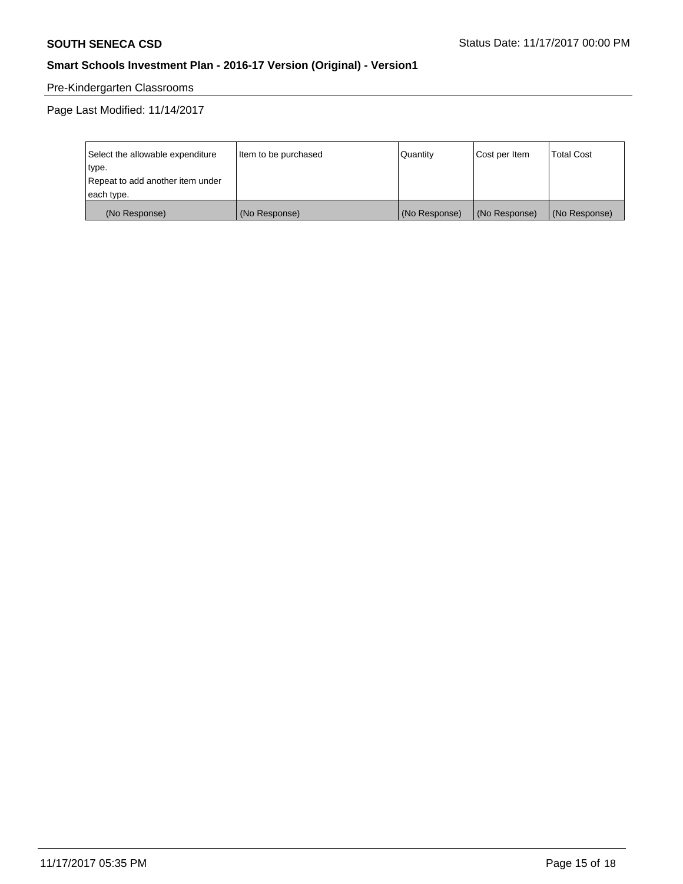# Pre-Kindergarten Classrooms

Page Last Modified: 11/14/2017

| Select the allowable expenditure | Item to be purchased | Quantity      | Cost per Item | <b>Total Cost</b> |
|----------------------------------|----------------------|---------------|---------------|-------------------|
| type.                            |                      |               |               |                   |
| Repeat to add another item under |                      |               |               |                   |
| each type.                       |                      |               |               |                   |
| (No Response)                    | (No Response)        | (No Response) | (No Response) | (No Response)     |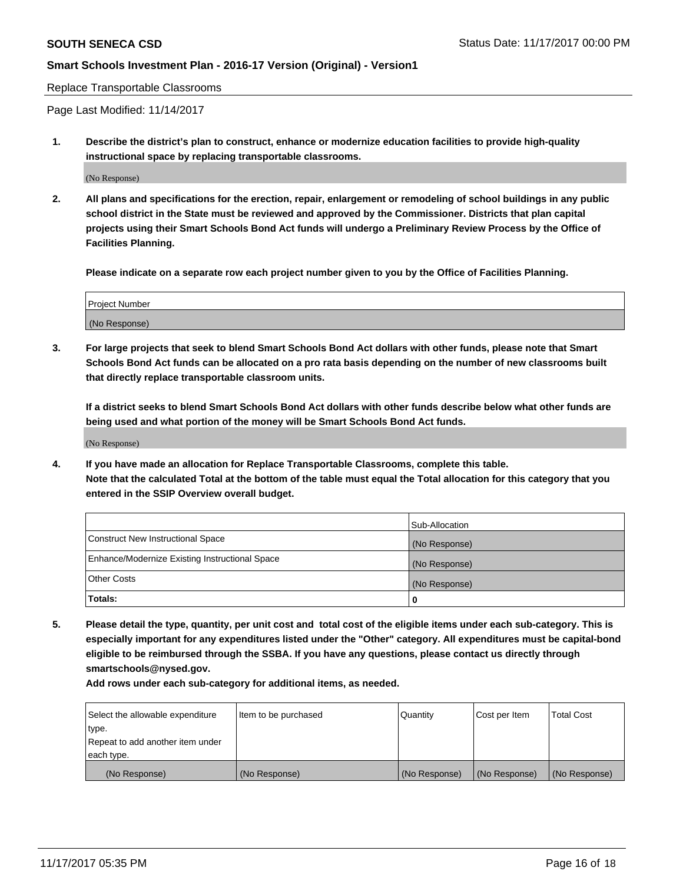Replace Transportable Classrooms

Page Last Modified: 11/14/2017

**1. Describe the district's plan to construct, enhance or modernize education facilities to provide high-quality instructional space by replacing transportable classrooms.**

(No Response)

**2. All plans and specifications for the erection, repair, enlargement or remodeling of school buildings in any public school district in the State must be reviewed and approved by the Commissioner. Districts that plan capital projects using their Smart Schools Bond Act funds will undergo a Preliminary Review Process by the Office of Facilities Planning.**

**Please indicate on a separate row each project number given to you by the Office of Facilities Planning.**

| Project Number |  |
|----------------|--|
| (No Response)  |  |

**3. For large projects that seek to blend Smart Schools Bond Act dollars with other funds, please note that Smart Schools Bond Act funds can be allocated on a pro rata basis depending on the number of new classrooms built that directly replace transportable classroom units.**

**If a district seeks to blend Smart Schools Bond Act dollars with other funds describe below what other funds are being used and what portion of the money will be Smart Schools Bond Act funds.**

(No Response)

**4. If you have made an allocation for Replace Transportable Classrooms, complete this table. Note that the calculated Total at the bottom of the table must equal the Total allocation for this category that you entered in the SSIP Overview overall budget.**

|                                                | Sub-Allocation |
|------------------------------------------------|----------------|
| Construct New Instructional Space              | (No Response)  |
| Enhance/Modernize Existing Instructional Space | (No Response)  |
| <b>Other Costs</b>                             | (No Response)  |
| Totals:                                        | 0              |

**5. Please detail the type, quantity, per unit cost and total cost of the eligible items under each sub-category. This is especially important for any expenditures listed under the "Other" category. All expenditures must be capital-bond eligible to be reimbursed through the SSBA. If you have any questions, please contact us directly through smartschools@nysed.gov.**

| Select the allowable expenditure | Item to be purchased | Quantity      | Cost per Item | <b>Total Cost</b> |
|----------------------------------|----------------------|---------------|---------------|-------------------|
| type.                            |                      |               |               |                   |
| Repeat to add another item under |                      |               |               |                   |
| each type.                       |                      |               |               |                   |
| (No Response)                    | (No Response)        | (No Response) | (No Response) | (No Response)     |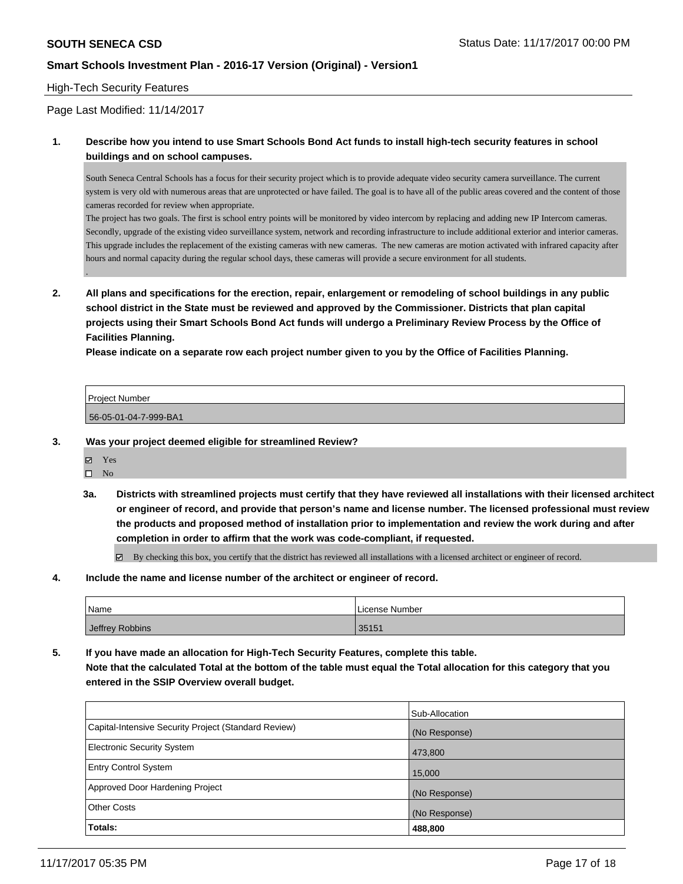### High-Tech Security Features

Page Last Modified: 11/14/2017

### **1. Describe how you intend to use Smart Schools Bond Act funds to install high-tech security features in school buildings and on school campuses.**

South Seneca Central Schools has a focus for their security project which is to provide adequate video security camera surveillance. The current system is very old with numerous areas that are unprotected or have failed. The goal is to have all of the public areas covered and the content of those cameras recorded for review when appropriate.

The project has two goals. The first is school entry points will be monitored by video intercom by replacing and adding new IP Intercom cameras. Secondly, upgrade of the existing video surveillance system, network and recording infrastructure to include additional exterior and interior cameras. This upgrade includes the replacement of the existing cameras with new cameras. The new cameras are motion activated with infrared capacity after hours and normal capacity during the regular school days, these cameras will provide a secure environment for all students.

**2. All plans and specifications for the erection, repair, enlargement or remodeling of school buildings in any public school district in the State must be reviewed and approved by the Commissioner. Districts that plan capital projects using their Smart Schools Bond Act funds will undergo a Preliminary Review Process by the Office of Facilities Planning.** 

**Please indicate on a separate row each project number given to you by the Office of Facilities Planning.**

| <b>Project Number</b> |  |
|-----------------------|--|
|                       |  |
| 56-05-01-04-7-999-BA1 |  |

- **3. Was your project deemed eligible for streamlined Review?**
	- Yes

.

- $\hfill \square$  No
- **3a. Districts with streamlined projects must certify that they have reviewed all installations with their licensed architect or engineer of record, and provide that person's name and license number. The licensed professional must review the products and proposed method of installation prior to implementation and review the work during and after completion in order to affirm that the work was code-compliant, if requested.**
	- $\boxtimes$  By checking this box, you certify that the district has reviewed all installations with a licensed architect or engineer of record.
- **4. Include the name and license number of the architect or engineer of record.**

| Name            | License Number |
|-----------------|----------------|
| Jeffrey Robbins | 35151          |

**5. If you have made an allocation for High-Tech Security Features, complete this table. Note that the calculated Total at the bottom of the table must equal the Total allocation for this category that you entered in the SSIP Overview overall budget.**

| Totals:                                              | 488,800        |
|------------------------------------------------------|----------------|
| <b>Other Costs</b>                                   | (No Response)  |
| Approved Door Hardening Project                      | (No Response)  |
| <b>Entry Control System</b>                          | 15,000         |
| <b>Electronic Security System</b>                    | 473,800        |
| Capital-Intensive Security Project (Standard Review) | (No Response)  |
|                                                      | Sub-Allocation |
|                                                      |                |